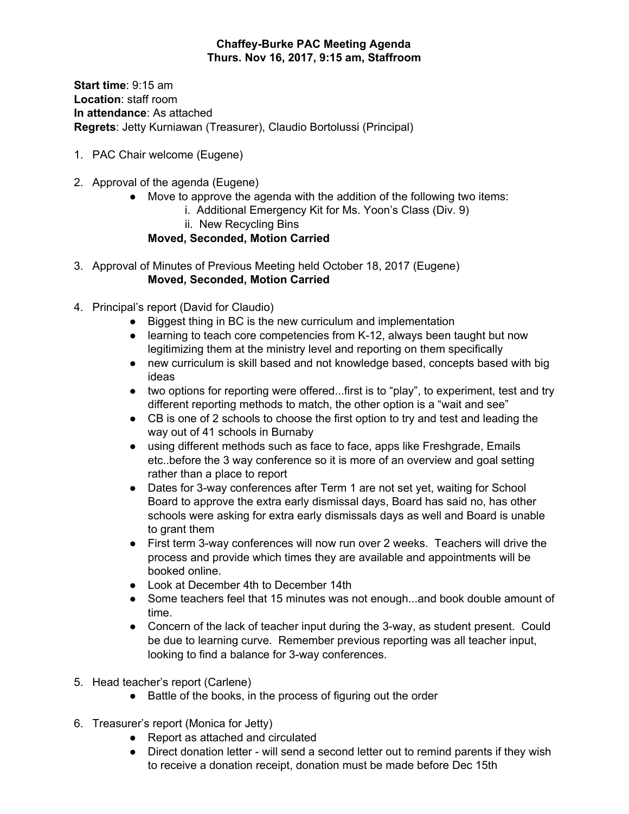## **Chaffey-Burke PAC Meeting Agenda Thurs. Nov 16, 2017, 9:15 am, Staffroom**

**Start time**: 9:15 am **Location**: staff room **In attendance**: As attached **Regrets**: Jetty Kurniawan (Treasurer), Claudio Bortolussi (Principal)

- 1. PAC Chair welcome (Eugene)
- 2. Approval of the agenda (Eugene)
	- Move to approve the agenda with the addition of the following two items:
		- i. Additional Emergency Kit for Ms. Yoon's Class (Div. 9)
		- ii. New Recycling Bins

**Moved, Seconded, Motion Carried**

- 3. Approval of Minutes of Previous Meeting held October 18, 2017 (Eugene) **Moved, Seconded, Motion Carried**
- 4. Principal's report (David for Claudio)
	- Biggest thing in BC is the new curriculum and implementation
	- learning to teach core competencies from K-12, always been taught but now legitimizing them at the ministry level and reporting on them specifically
	- new curriculum is skill based and not knowledge based, concepts based with big ideas
	- two options for reporting were offered...first is to "play", to experiment, test and try different reporting methods to match, the other option is a "wait and see"
	- CB is one of 2 schools to choose the first option to try and test and leading the way out of 41 schools in Burnaby
	- using different methods such as face to face, apps like Freshgrade, Emails etc..before the 3 way conference so it is more of an overview and goal setting rather than a place to report
	- Dates for 3-way conferences after Term 1 are not set yet, waiting for School Board to approve the extra early dismissal days, Board has said no, has other schools were asking for extra early dismissals days as well and Board is unable to grant them
	- First term 3-way conferences will now run over 2 weeks. Teachers will drive the process and provide which times they are available and appointments will be booked online.
	- Look at December 4th to December 14th
	- Some teachers feel that 15 minutes was not enough...and book double amount of time.
	- Concern of the lack of teacher input during the 3-way, as student present. Could be due to learning curve. Remember previous reporting was all teacher input, looking to find a balance for 3-way conferences.
- 5. Head teacher's report (Carlene)
	- Battle of the books, in the process of figuring out the order
- 6. Treasurer's report (Monica for Jetty)
	- Report as attached and circulated
	- Direct donation letter will send a second letter out to remind parents if they wish to receive a donation receipt, donation must be made before Dec 15th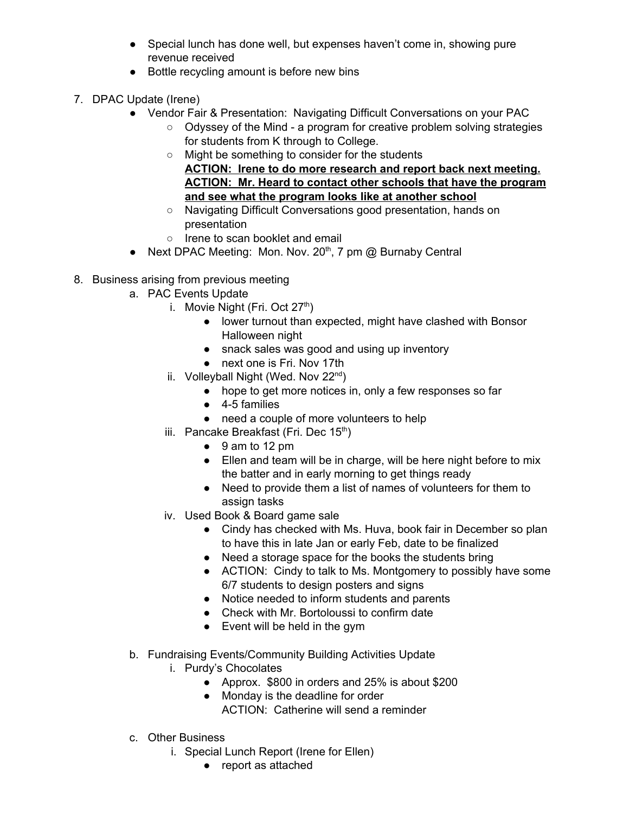- Special lunch has done well, but expenses haven't come in, showing pure revenue received
- Bottle recycling amount is before new bins
- 7. DPAC Update (Irene)
	- Vendor Fair & Presentation: Navigating Difficult Conversations on your PAC
		- Odyssey of the Mind a program for creative problem solving strategies for students from K through to College.
		- Might be something to consider for the students **ACTION: Irene to do more research and report back next meeting. ACTION: Mr. Heard to contact other schools that have the program and see what the program looks like at another school**
		- Navigating Difficult Conversations good presentation, hands on presentation
		- Irene to scan booklet and email
	- $\bullet$  Next DPAC Meeting: Mon. Nov. 20<sup>th</sup>, 7 pm @ Burnaby Central
- 8. Business arising from previous meeting
	- a. PAC Events Update
		- i. Movie Night (Fri. Oct 27<sup>th</sup>)
			- lower turnout than expected, might have clashed with Bonsor Halloween night
			- snack sales was good and using up inventory
			- next one is Fri. Nov 17th
		- ii. Volleyball Night (Wed. Nov 22<sup>nd</sup>)
			- hope to get more notices in, only a few responses so far
			- 4-5 families
			- need a couple of more volunteers to help
		- iii. Pancake Breakfast (Fri. Dec  $15<sup>th</sup>$ )
			- $\bullet$  9 am to 12 pm
			- Ellen and team will be in charge, will be here night before to mix the batter and in early morning to get things ready
			- Need to provide them a list of names of volunteers for them to assign tasks
		- iv. Used Book & Board game sale
			- Cindy has checked with Ms. Huva, book fair in December so plan to have this in late Jan or early Feb, date to be finalized
			- Need a storage space for the books the students bring
			- ACTION: Cindy to talk to Ms. Montgomery to possibly have some 6/7 students to design posters and signs
			- Notice needed to inform students and parents
			- Check with Mr. Bortoloussi to confirm date
			- Event will be held in the gym
	- b. Fundraising Events/Community Building Activities Update
		- i. Purdy's Chocolates
			- Approx. \$800 in orders and 25% is about \$200
			- Monday is the deadline for order
				- ACTION: Catherine will send a reminder
	- c. Other Business
		- i. Special Lunch Report (Irene for Ellen)
			- report as attached